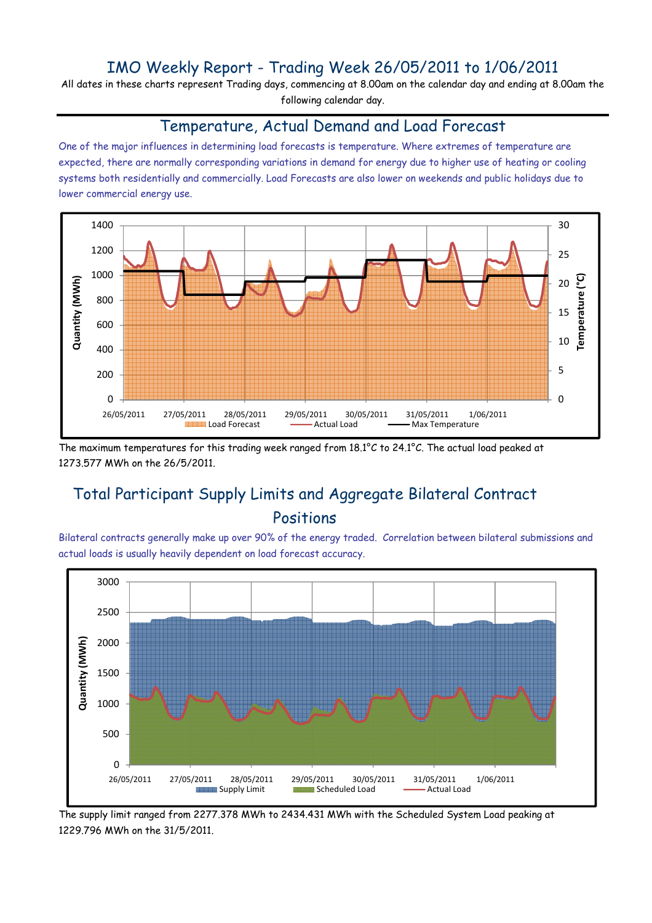## IMO Weekly Report - Trading Week 26/05/2011 to 1/06/2011

All dates in these charts represent Trading days, commencing at 8.00am on the calendar day and ending at 8.00am the following calendar day.

#### Temperature, Actual Demand and Load Forecast

One of the major influences in determining load forecasts is temperature. Where extremes of temperature are expected, there are normally corresponding variations in demand for energy due to higher use of heating or cooling systems both residentially and commercially. Load Forecasts are also lower on weekends and public holidays due to lower commercial energy use.



The maximum temperatures for this trading week ranged from 18.1°C to 24.1°C. The actual load peaked at 1273.577 MWh on the 26/5/2011.

# Total Participant Supply Limits and Aggregate Bilateral Contract Positions

Bilateral contracts generally make up over 90% of the energy traded. Correlation between bilateral submissions and actual loads is usually heavily dependent on load forecast accuracy.



The supply limit ranged from 2277.378 MWh to 2434.431 MWh with the Scheduled System Load peaking at 1229.796 MWh on the 31/5/2011.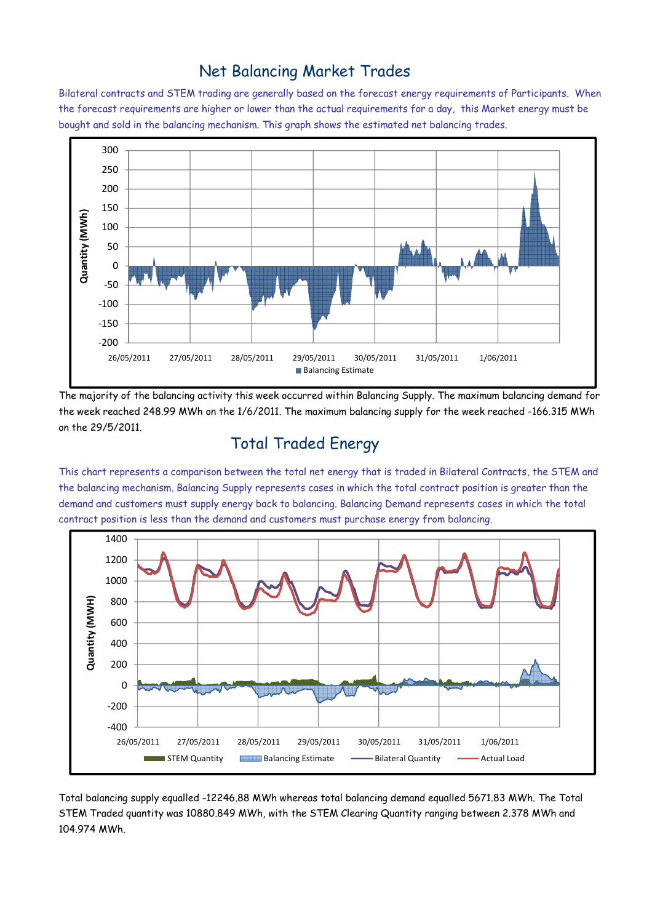## Net Balancing Market Trades

Bilateral contracts and STEM trading are generally based on the forecast energy requirements of Participants. When the forecast requirements are higher or lower than the actual requirements for a day, this Market energy must be bought and sold in the balancing mechanism. This graph shows the estimated net balancing trades.



The majority of the balancing activity this week occurred within Balancing Supply. The maximum balancing demand for the week reached 248.99 MWh on the 1/6/2011. The maximum balancing supply for the week reached -166.315 MWh on the 29/5/2011.

# Total Traded Energy

This chart represents a comparison between the total net energy that is traded in Bilateral Contracts, the STEM and the balancing mechanism. Balancing Supply represents cases in which the total contract position is greater than the demand and customers must supply energy back to balancing. Balancing Demand represents cases in which the total contract position is less than the demand and customers must purchase energy from balancing.



Total balancing supply equalled -12246.88 MWh whereas total balancing demand equalled 5671.83 MWh. The Total STEM Traded quantity was 10880.849 MWh, with the STEM Clearing Quantity ranging between 2.378 MWh and 104.974 MWh.